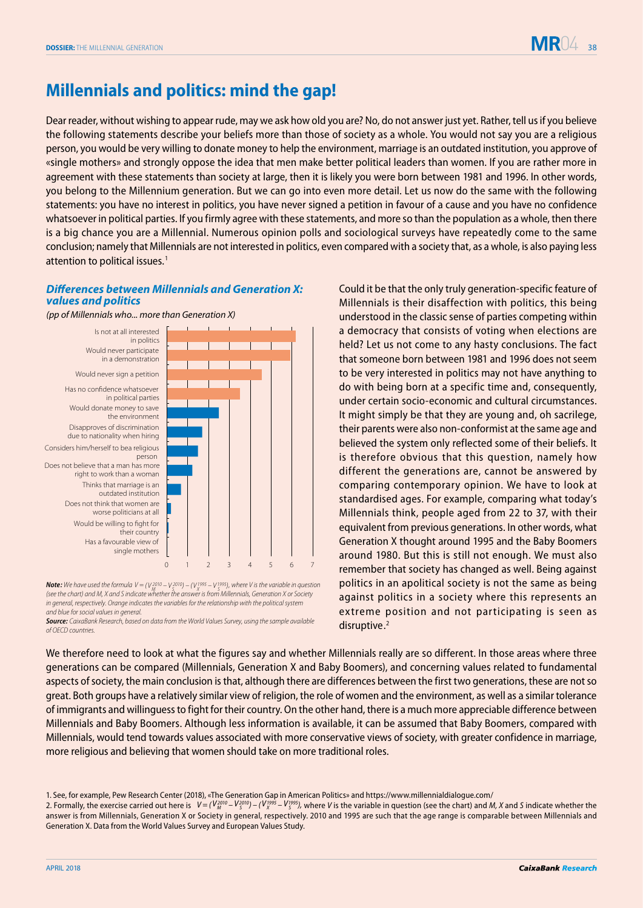

## **Millennials and politics: mind the gap!**

Dear reader, without wishing to appear rude, may we ask how old you are? No, do not answer just yet. Rather, tell us if you believe the following statements describe your beliefs more than those of society as a whole. You would not say you are a religious person, you would be very willing to donate money to help the environment, marriage is an outdated institution, you approve of «single mothers» and strongly oppose the idea that men make better political leaders than women. If you are rather more in agreement with these statements than society at large, then it is likely you were born between 1981 and 1996. In other words, you belong to the Millennium generation. But we can go into even more detail. Let us now do the same with the following statements: you have no interest in politics, you have never signed a petition in favour of a cause and you have no confidence whatsoever in political parties. If you firmly agree with these statements, and more so than the population as a whole, then there is a big chance you are a Millennial. Numerous opinion polls and sociological surveys have repeatedly come to the same conclusion; namely that Millennials are not interested in politics, even compared with a society that, as a whole, is also paying less attention to political issues.<sup>1</sup>

## *Differences between Millennials and Generation X: values and politics*

Is not at all interested *(pp of Millennials who... more than Generation X)*



*Note:* We have used the formula  $V = (V_{M}^{2010} - V_{S}^{2010}) - (V_{X}^{1995} - V_{S}^{1995})$ , where V is the variable in question *(see the chart) and M, X and S indicate whether the answer is from Millennials, Generation X or Society in general, respectively. Orange indicates the variables for the relationship with the political system and blue for social values in general.* 

*Source: CaixaBank Research, based on data from the World Values Survey, using the sample available of OECD countries.*

Could it be that the only truly generation-specific feature of Millennials is their disaffection with politics, this being understood in the classic sense of parties competing within a democracy that consists of voting when elections are held? Let us not come to any hasty conclusions. The fact that someone born between 1981 and 1996 does not seem to be very interested in politics may not have anything to do with being born at a specific time and, consequently, under certain socio-economic and cultural circumstances. It might simply be that they are young and, oh sacrilege, their parents were also non-conformist at the same age and believed the system only reflected some of their beliefs. It is therefore obvious that this question, namely how different the generations are, cannot be answered by comparing contemporary opinion. We have to look at standardised ages. For example, comparing what today's Millennials think, people aged from 22 to 37, with their equivalent from previous generations. In other words, what Generation X thought around 1995 and the Baby Boomers around 1980. But this is still not enough. We must also remember that society has changed as well. Being against politics in an apolitical society is not the same as being against politics in a society where this represents an extreme position and not participating is seen as disruptive.<sup>2</sup>

We therefore need to look at what the figures say and whether Millennials really are so different. In those areas where three generations can be compared (Millennials, Generation X and Baby Boomers), and concerning values related to fundamental aspects of society, the main conclusion is that, although there are differences between the first two generations, these are not so great. Both groups have a relatively similar view of religion, the role of women and the environment, as well as a similar tolerance of immigrants and willinguess to fight for their country. On the other hand, there is a much more appreciable difference between Millennials and Baby Boomers. Although less information is available, it can be assumed that Baby Boomers, compared with Millennials, would tend towards values associated with more conservative views of society, with greater confidence in marriage, more religious and believing that women should take on more traditional roles.

<sup>1.</sup> See, for example, Pew Research Center (2018), «The Generation Gap in American Politics» and https://www.millennialdialogue.com/

<sup>2.</sup> Formally, the exercise carried out here is  $V = (V_{M}^{2010} - V_{S}^{2010}) - (V_{N}^{1995} - V_{S}^{1995})$ , where *V* is the variable in question (see the chart) and *M*, *X* and *S* indicate whether the answer is from Millennials, Generation X or Society in general, respectively. 2010 and 1995 are such that the age range is comparable between Millennials and Generation X. Data from the World Values Survey and European Values Study.